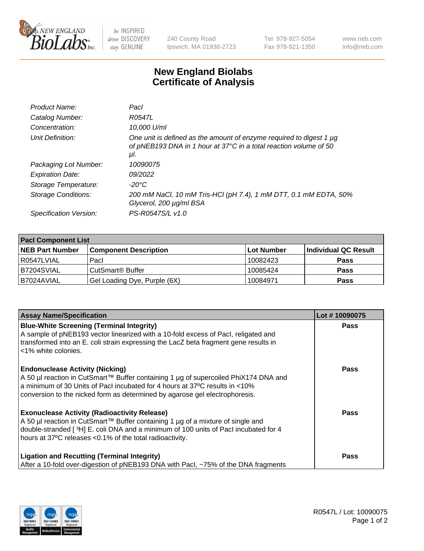

 $be$  INSPIRED drive DISCOVERY stay GENUINE

240 County Road Ipswich, MA 01938-2723 Tel 978-927-5054 Fax 978-921-1350 www.neb.com info@neb.com

## **New England Biolabs Certificate of Analysis**

| Product Name:           | Pacl                                                                                                                                            |
|-------------------------|-------------------------------------------------------------------------------------------------------------------------------------------------|
| Catalog Number:         | R0547L                                                                                                                                          |
| Concentration:          | 10,000 U/ml                                                                                                                                     |
| Unit Definition:        | One unit is defined as the amount of enzyme required to digest 1 µg<br>of pNEB193 DNA in 1 hour at 37°C in a total reaction volume of 50<br>μI. |
| Packaging Lot Number:   | 10090075                                                                                                                                        |
| <b>Expiration Date:</b> | 09/2022                                                                                                                                         |
| Storage Temperature:    | $-20^{\circ}$ C                                                                                                                                 |
| Storage Conditions:     | 200 mM NaCl, 10 mM Tris-HCl (pH 7.4), 1 mM DTT, 0.1 mM EDTA, 50%<br>Glycerol, 200 µg/ml BSA                                                     |
| Specification Version:  | PS-R0547S/L v1.0                                                                                                                                |

| <b>Pacl Component List</b> |                              |             |                      |  |  |
|----------------------------|------------------------------|-------------|----------------------|--|--|
| <b>NEB Part Number</b>     | <b>Component Description</b> | ∣Lot Number | Individual QC Result |  |  |
| R0547LVIAL                 | Pacl                         | 10082423    | <b>Pass</b>          |  |  |
| B7204SVIAL                 | CutSmart® Buffer             | 10085424    | <b>Pass</b>          |  |  |
| B7024AVIAL                 | Gel Loading Dye, Purple (6X) | 10084971    | <b>Pass</b>          |  |  |

| <b>Assay Name/Specification</b>                                                                                                                                                                                                                                                             | Lot #10090075 |
|---------------------------------------------------------------------------------------------------------------------------------------------------------------------------------------------------------------------------------------------------------------------------------------------|---------------|
| <b>Blue-White Screening (Terminal Integrity)</b><br>A sample of pNEB193 vector linearized with a 10-fold excess of Pacl, religated and<br>transformed into an E. coli strain expressing the LacZ beta fragment gene results in<br><1% white colonies.                                       | <b>Pass</b>   |
| <b>Endonuclease Activity (Nicking)</b><br>A 50 µl reaction in CutSmart™ Buffer containing 1 µg of supercoiled PhiX174 DNA and<br>a minimum of 30 Units of Pacl incubated for 4 hours at 37°C results in <10%<br>conversion to the nicked form as determined by agarose gel electrophoresis. | <b>Pass</b>   |
| <b>Exonuclease Activity (Radioactivity Release)</b><br>A 50 µl reaction in CutSmart™ Buffer containing 1 µg of a mixture of single and<br>double-stranded [3H] E. coli DNA and a minimum of 100 units of Pacl incubated for 4<br>hours at 37°C releases <0.1% of the total radioactivity.   | Pass          |
| <b>Ligation and Recutting (Terminal Integrity)</b><br>After a 10-fold over-digestion of pNEB193 DNA with Pacl, ~75% of the DNA fragments                                                                                                                                                    | <b>Pass</b>   |